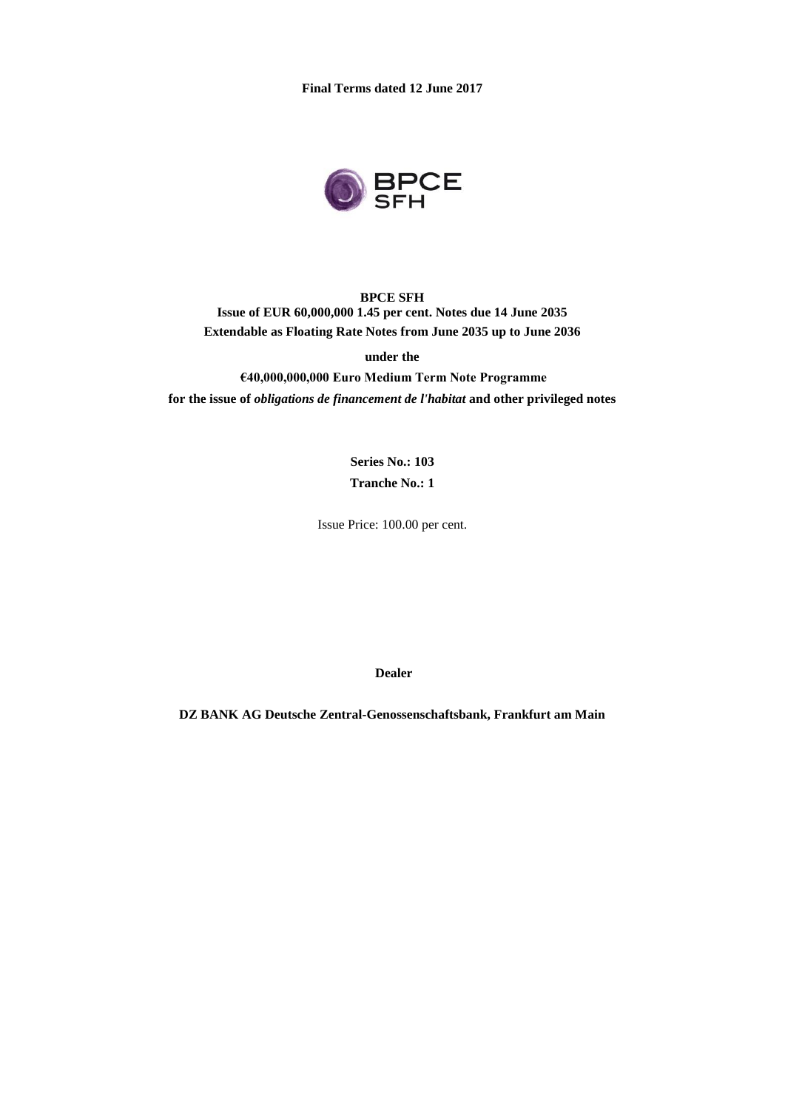**Final Terms dated 12 June 2017**



**BPCE SFH Issue of EUR 60,000,000 1.45 per cent. Notes due 14 June 2035 Extendable as Floating Rate Notes from June 2035 up to June 2036**

**under the**

**€40,000,000,000 Euro Medium Term Note Programme for the issue of** *obligations de financement de l'habitat* **and other privileged notes**

> **Series No.: 103 Tranche No.: 1**

Issue Price: 100.00 per cent.

**Dealer**

**DZ BANK AG Deutsche Zentral-Genossenschaftsbank, Frankfurt am Main**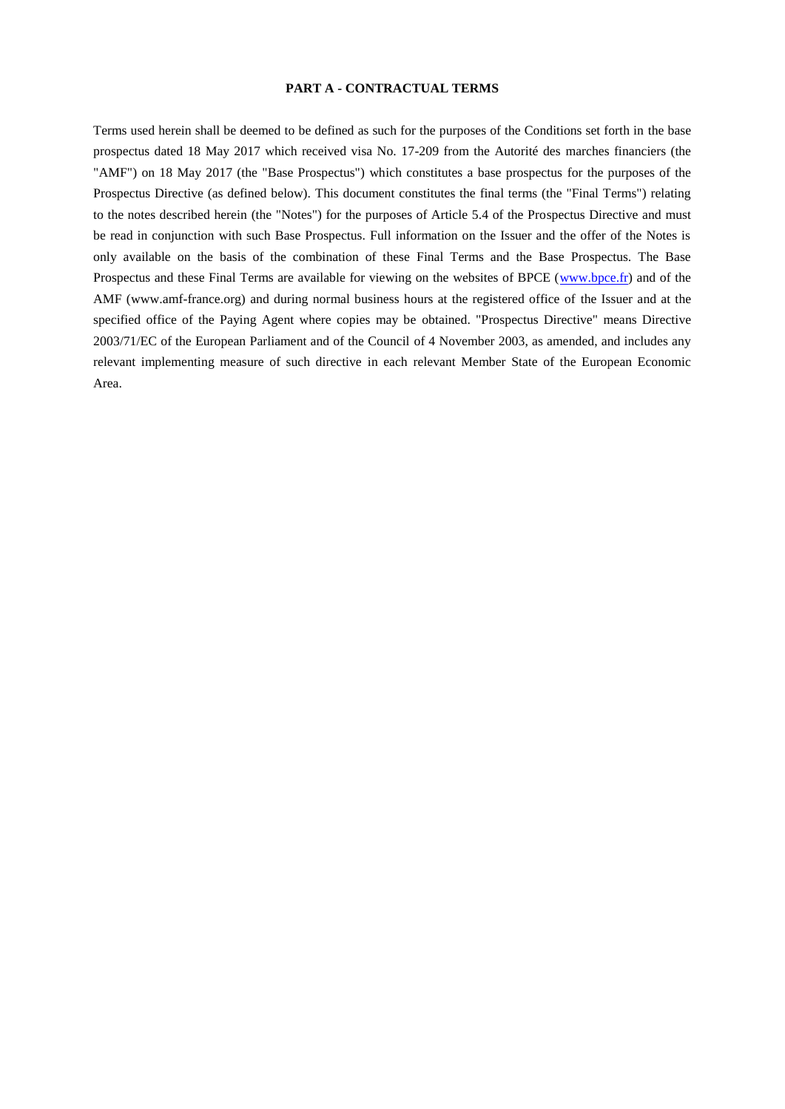#### **PART A - CONTRACTUAL TERMS**

Terms used herein shall be deemed to be defined as such for the purposes of the Conditions set forth in the base prospectus dated 18 May 2017 which received visa No. 17-209 from the Autorité des marches financiers (the "AMF") on 18 May 2017 (the "Base Prospectus") which constitutes a base prospectus for the purposes of the Prospectus Directive (as defined below). This document constitutes the final terms (the "Final Terms") relating to the notes described herein (the "Notes") for the purposes of Article 5.4 of the Prospectus Directive and must be read in conjunction with such Base Prospectus. Full information on the Issuer and the offer of the Notes is only available on the basis of the combination of these Final Terms and the Base Prospectus. The Base Prospectus and these Final Terms are available for viewing on the websites of BPCE [\(www.bpce.fr\)](http://www.bpce.fr/) and of the AMF (www.amf-france.org) and during normal business hours at the registered office of the Issuer and at the specified office of the Paying Agent where copies may be obtained. "Prospectus Directive" means Directive 2003/71/EC of the European Parliament and of the Council of 4 November 2003, as amended, and includes any relevant implementing measure of such directive in each relevant Member State of the European Economic Area.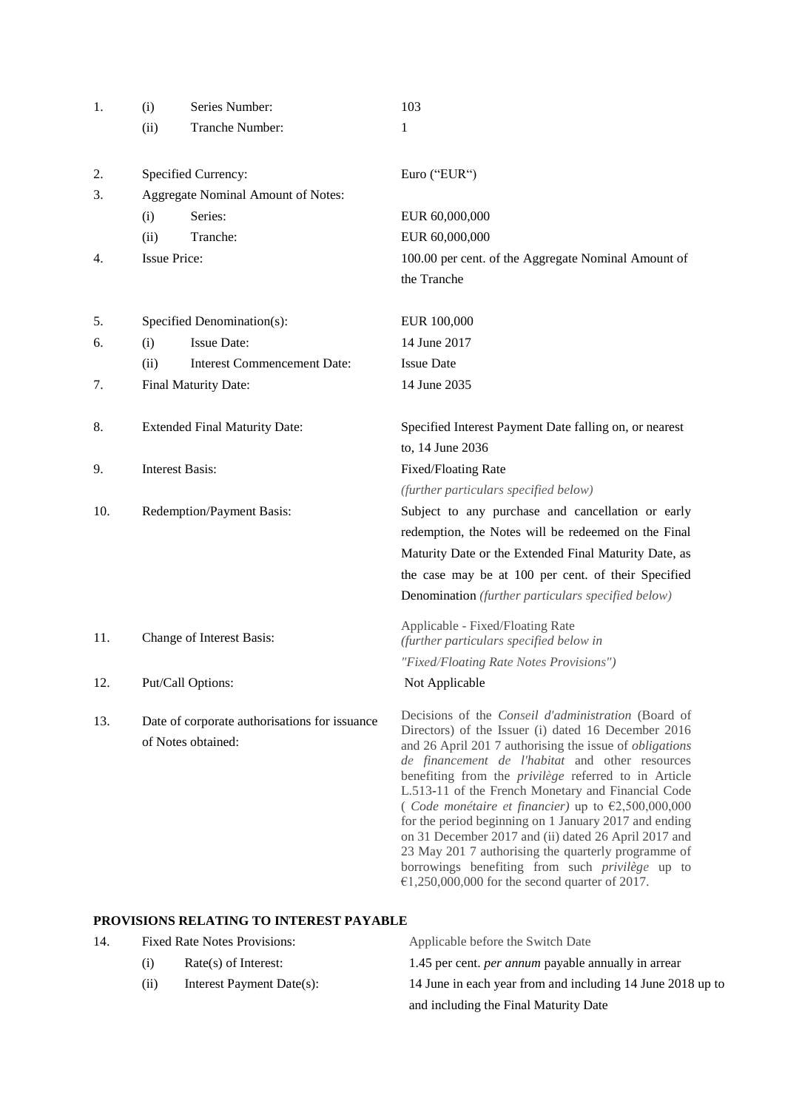| 1.  | (i)                                | Series Number:                                                      | 103                                                                                                                                                                                                                                                                                                                                                                                                                                                                                                                                                                                                                                                                                                        |  |
|-----|------------------------------------|---------------------------------------------------------------------|------------------------------------------------------------------------------------------------------------------------------------------------------------------------------------------------------------------------------------------------------------------------------------------------------------------------------------------------------------------------------------------------------------------------------------------------------------------------------------------------------------------------------------------------------------------------------------------------------------------------------------------------------------------------------------------------------------|--|
|     | (ii)                               | Tranche Number:                                                     | 1                                                                                                                                                                                                                                                                                                                                                                                                                                                                                                                                                                                                                                                                                                          |  |
| 2.  |                                    | Specified Currency:                                                 | Euro ("EUR")                                                                                                                                                                                                                                                                                                                                                                                                                                                                                                                                                                                                                                                                                               |  |
| 3.  | Aggregate Nominal Amount of Notes: |                                                                     |                                                                                                                                                                                                                                                                                                                                                                                                                                                                                                                                                                                                                                                                                                            |  |
|     | (i)                                | Series:                                                             | EUR 60,000,000                                                                                                                                                                                                                                                                                                                                                                                                                                                                                                                                                                                                                                                                                             |  |
|     | (ii)                               | Tranche:                                                            | EUR 60,000,000                                                                                                                                                                                                                                                                                                                                                                                                                                                                                                                                                                                                                                                                                             |  |
| 4.  | <b>Issue Price:</b>                |                                                                     | 100.00 per cent. of the Aggregate Nominal Amount of                                                                                                                                                                                                                                                                                                                                                                                                                                                                                                                                                                                                                                                        |  |
|     |                                    |                                                                     | the Tranche                                                                                                                                                                                                                                                                                                                                                                                                                                                                                                                                                                                                                                                                                                |  |
| 5.  |                                    | Specified Denomination(s):                                          | EUR 100,000                                                                                                                                                                                                                                                                                                                                                                                                                                                                                                                                                                                                                                                                                                |  |
| 6.  | (i)                                | <b>Issue Date:</b>                                                  | 14 June 2017                                                                                                                                                                                                                                                                                                                                                                                                                                                                                                                                                                                                                                                                                               |  |
|     | (ii)                               | <b>Interest Commencement Date:</b>                                  | <b>Issue Date</b>                                                                                                                                                                                                                                                                                                                                                                                                                                                                                                                                                                                                                                                                                          |  |
| 7.  | Final Maturity Date:               |                                                                     | 14 June 2035                                                                                                                                                                                                                                                                                                                                                                                                                                                                                                                                                                                                                                                                                               |  |
| 8.  |                                    | <b>Extended Final Maturity Date:</b>                                | Specified Interest Payment Date falling on, or nearest                                                                                                                                                                                                                                                                                                                                                                                                                                                                                                                                                                                                                                                     |  |
|     |                                    |                                                                     | to, 14 June 2036                                                                                                                                                                                                                                                                                                                                                                                                                                                                                                                                                                                                                                                                                           |  |
| 9.  | <b>Interest Basis:</b>             |                                                                     | <b>Fixed/Floating Rate</b>                                                                                                                                                                                                                                                                                                                                                                                                                                                                                                                                                                                                                                                                                 |  |
|     |                                    |                                                                     | (further particulars specified below)                                                                                                                                                                                                                                                                                                                                                                                                                                                                                                                                                                                                                                                                      |  |
| 10. |                                    | Redemption/Payment Basis:                                           | Subject to any purchase and cancellation or early                                                                                                                                                                                                                                                                                                                                                                                                                                                                                                                                                                                                                                                          |  |
|     |                                    |                                                                     | redemption, the Notes will be redeemed on the Final                                                                                                                                                                                                                                                                                                                                                                                                                                                                                                                                                                                                                                                        |  |
|     |                                    |                                                                     | Maturity Date or the Extended Final Maturity Date, as                                                                                                                                                                                                                                                                                                                                                                                                                                                                                                                                                                                                                                                      |  |
|     |                                    |                                                                     | the case may be at 100 per cent. of their Specified                                                                                                                                                                                                                                                                                                                                                                                                                                                                                                                                                                                                                                                        |  |
|     |                                    |                                                                     | Denomination (further particulars specified below)                                                                                                                                                                                                                                                                                                                                                                                                                                                                                                                                                                                                                                                         |  |
| 11. |                                    | Change of Interest Basis:                                           | Applicable - Fixed/Floating Rate<br>(further particulars specified below in                                                                                                                                                                                                                                                                                                                                                                                                                                                                                                                                                                                                                                |  |
|     |                                    |                                                                     | "Fixed/Floating Rate Notes Provisions")                                                                                                                                                                                                                                                                                                                                                                                                                                                                                                                                                                                                                                                                    |  |
| 12. |                                    | Put/Call Options:                                                   | Not Applicable                                                                                                                                                                                                                                                                                                                                                                                                                                                                                                                                                                                                                                                                                             |  |
| 13. |                                    | Date of corporate authorisations for issuance<br>of Notes obtained: | Decisions of the Conseil d'administration (Board of<br>Directors) of the Issuer (i) dated 16 December 2016<br>and 26 April 201 7 authorising the issue of <i>obligations</i><br>de financement de l'habitat and other resources<br>benefiting from the <i>privilège</i> referred to in Article<br>L.513-11 of the French Monetary and Financial Code<br>(Code monétaire et financier) up to $\epsilon$ 2,500,000,000<br>for the period beginning on 1 January 2017 and ending<br>on 31 December 2017 and (ii) dated 26 April 2017 and<br>23 May 201 7 authorising the quarterly programme of<br>borrowings benefiting from such <i>privilège</i> up to<br>$£1,250,000,000$ for the second quarter of 2017. |  |
|     |                                    |                                                                     |                                                                                                                                                                                                                                                                                                                                                                                                                                                                                                                                                                                                                                                                                                            |  |

# **PROVISIONS RELATING TO INTEREST PAYABLE**

| 14. | <b>Fixed Rate Notes Provisions:</b> |                           | Applicable before the Switch Date                          |
|-----|-------------------------------------|---------------------------|------------------------------------------------------------|
|     | (1)                                 | $Rate(s)$ of Interest:    | 1.45 per cent. <i>per annum</i> payable annually in arrear |
|     | (11)                                | Interest Payment Date(s): | 14 June in each year from and including 14 June 2018 up to |
|     |                                     |                           | and including the Final Maturity Date                      |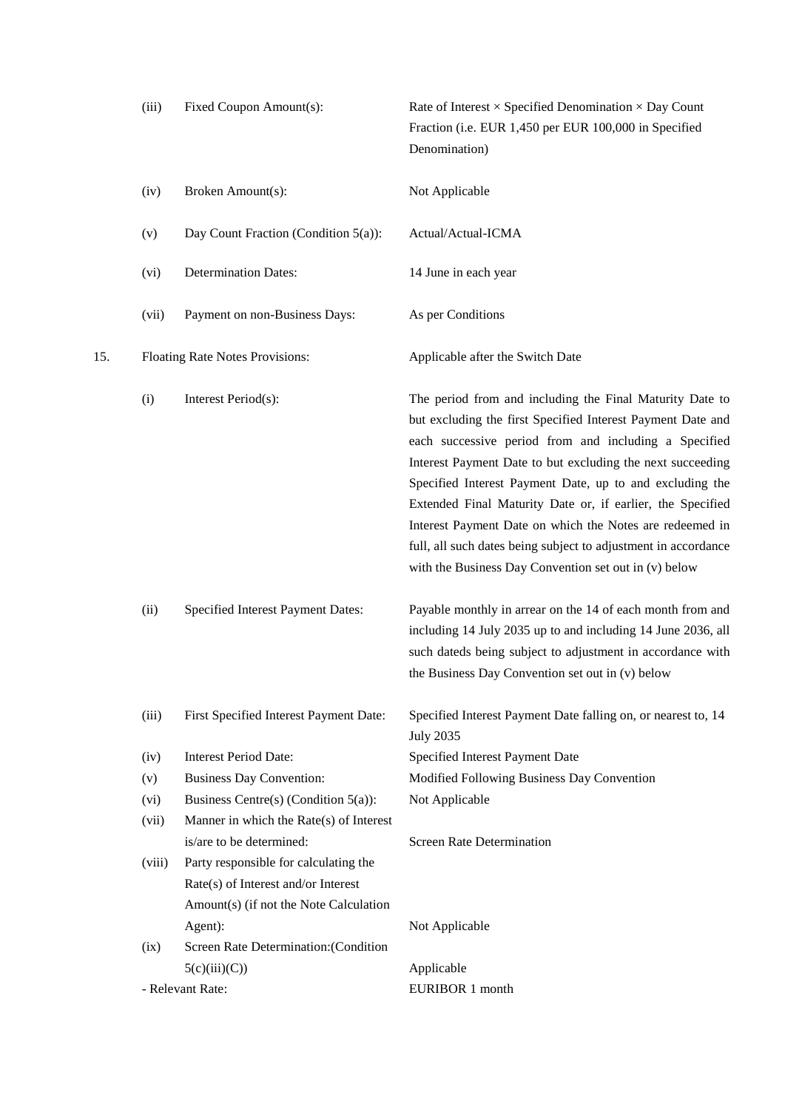|     | (iii)  | Fixed Coupon Amount(s):                                                                                                           | Rate of Interest $\times$ Specified Denomination $\times$ Day Count<br>Fraction (i.e. EUR 1,450 per EUR 100,000 in Specified<br>Denomination)                                                                                                                                                                                                                                                                                                                                                                                                                   |
|-----|--------|-----------------------------------------------------------------------------------------------------------------------------------|-----------------------------------------------------------------------------------------------------------------------------------------------------------------------------------------------------------------------------------------------------------------------------------------------------------------------------------------------------------------------------------------------------------------------------------------------------------------------------------------------------------------------------------------------------------------|
|     | (iv)   | Broken Amount(s):                                                                                                                 | Not Applicable                                                                                                                                                                                                                                                                                                                                                                                                                                                                                                                                                  |
|     | (v)    | Day Count Fraction (Condition 5(a)):                                                                                              | Actual/Actual-ICMA                                                                                                                                                                                                                                                                                                                                                                                                                                                                                                                                              |
|     | (vi)   | <b>Determination Dates:</b>                                                                                                       | 14 June in each year                                                                                                                                                                                                                                                                                                                                                                                                                                                                                                                                            |
|     | (vii)  | Payment on non-Business Days:                                                                                                     | As per Conditions                                                                                                                                                                                                                                                                                                                                                                                                                                                                                                                                               |
| 15. |        | Floating Rate Notes Provisions:                                                                                                   | Applicable after the Switch Date                                                                                                                                                                                                                                                                                                                                                                                                                                                                                                                                |
|     | (i)    | Interest Period(s):                                                                                                               | The period from and including the Final Maturity Date to<br>but excluding the first Specified Interest Payment Date and<br>each successive period from and including a Specified<br>Interest Payment Date to but excluding the next succeeding<br>Specified Interest Payment Date, up to and excluding the<br>Extended Final Maturity Date or, if earlier, the Specified<br>Interest Payment Date on which the Notes are redeemed in<br>full, all such dates being subject to adjustment in accordance<br>with the Business Day Convention set out in (v) below |
|     | (ii)   | Specified Interest Payment Dates:                                                                                                 | Payable monthly in arrear on the 14 of each month from and<br>including 14 July 2035 up to and including 14 June 2036, all<br>such dateds being subject to adjustment in accordance with<br>the Business Day Convention set out in (v) below                                                                                                                                                                                                                                                                                                                    |
|     | (iii)  | First Specified Interest Payment Date:                                                                                            | Specified Interest Payment Date falling on, or nearest to, 14<br><b>July 2035</b>                                                                                                                                                                                                                                                                                                                                                                                                                                                                               |
|     | (iv)   | <b>Interest Period Date:</b>                                                                                                      | Specified Interest Payment Date                                                                                                                                                                                                                                                                                                                                                                                                                                                                                                                                 |
|     | (v)    | <b>Business Day Convention:</b>                                                                                                   | Modified Following Business Day Convention                                                                                                                                                                                                                                                                                                                                                                                                                                                                                                                      |
|     | (vi)   | Business Centre(s) (Condition $5(a)$ ):                                                                                           | Not Applicable                                                                                                                                                                                                                                                                                                                                                                                                                                                                                                                                                  |
|     | (vii)  | Manner in which the Rate(s) of Interest                                                                                           |                                                                                                                                                                                                                                                                                                                                                                                                                                                                                                                                                                 |
|     |        | is/are to be determined:                                                                                                          | <b>Screen Rate Determination</b>                                                                                                                                                                                                                                                                                                                                                                                                                                                                                                                                |
|     | (viii) | Party responsible for calculating the<br>Rate(s) of Interest and/or Interest<br>Amount(s) (if not the Note Calculation<br>Agent): | Not Applicable                                                                                                                                                                                                                                                                                                                                                                                                                                                                                                                                                  |
|     | (ix)   | Screen Rate Determination: (Condition                                                                                             |                                                                                                                                                                                                                                                                                                                                                                                                                                                                                                                                                                 |
|     |        | 5(c)(iii)(C))                                                                                                                     | Applicable                                                                                                                                                                                                                                                                                                                                                                                                                                                                                                                                                      |
|     |        | - Relevant Rate:                                                                                                                  | EURIBOR 1 month                                                                                                                                                                                                                                                                                                                                                                                                                                                                                                                                                 |
|     |        |                                                                                                                                   |                                                                                                                                                                                                                                                                                                                                                                                                                                                                                                                                                                 |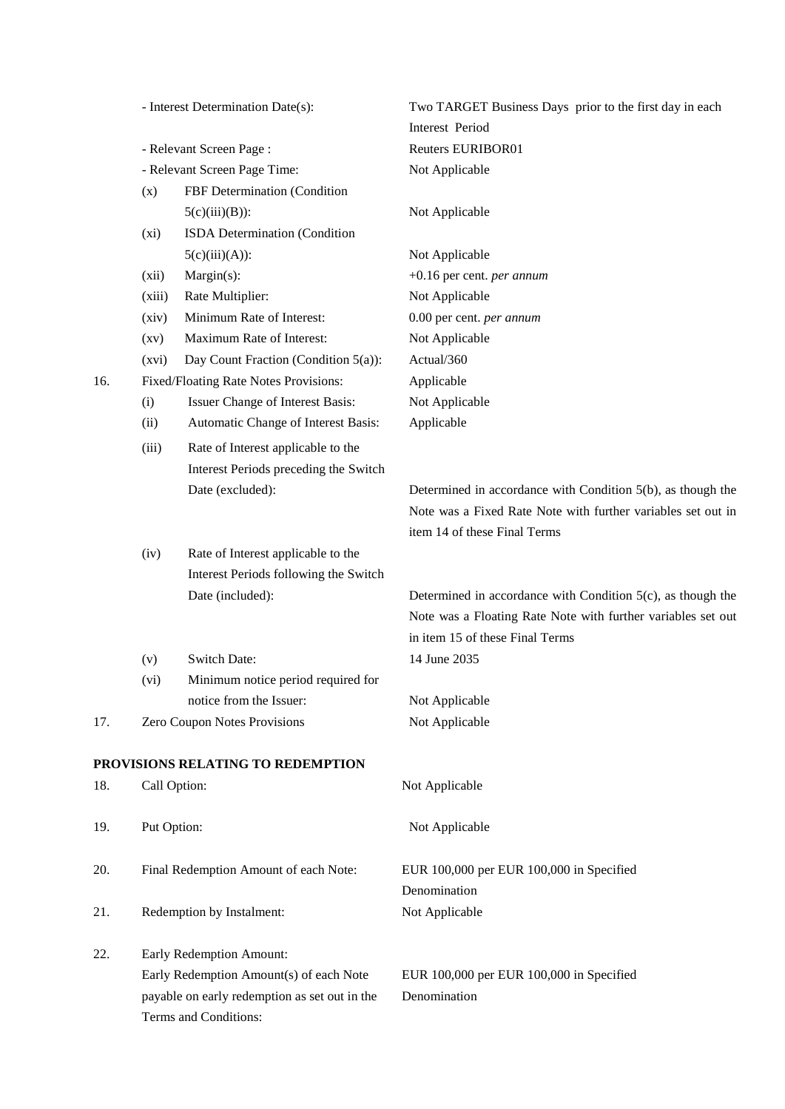|     |                                                                                                | - Interest Determination Date(s):       | Two TARGET Business Days prior to the first day in each<br>Interest Period |
|-----|------------------------------------------------------------------------------------------------|-----------------------------------------|----------------------------------------------------------------------------|
|     | - Relevant Screen Page:<br>- Relevant Screen Page Time:<br>FBF Determination (Condition<br>(x) |                                         | <b>Reuters EURIBOR01</b>                                                   |
|     |                                                                                                |                                         | Not Applicable                                                             |
|     |                                                                                                |                                         |                                                                            |
|     |                                                                                                | $5(c)(iii)(B))$ :                       | Not Applicable                                                             |
|     | (xi)                                                                                           | ISDA Determination (Condition           |                                                                            |
|     |                                                                                                | $5(c)(iii)(A))$ :                       | Not Applicable                                                             |
|     | (xii)                                                                                          | Margin(s):                              | $+0.16$ per cent. <i>per annum</i>                                         |
|     | (xiii)                                                                                         | Rate Multiplier:                        | Not Applicable                                                             |
|     | (xiv)                                                                                          | Minimum Rate of Interest:               | 0.00 per cent. per annum                                                   |
|     | (xv)                                                                                           | Maximum Rate of Interest:               | Not Applicable                                                             |
|     | (xvi)                                                                                          | Day Count Fraction (Condition 5(a)):    | Actual/360                                                                 |
| 16. |                                                                                                | Fixed/Floating Rate Notes Provisions:   | Applicable                                                                 |
|     | (i)                                                                                            | Issuer Change of Interest Basis:        | Not Applicable                                                             |
|     | (ii)                                                                                           | Automatic Change of Interest Basis:     | Applicable                                                                 |
|     | (iii)                                                                                          | Rate of Interest applicable to the      |                                                                            |
|     |                                                                                                | Interest Periods preceding the Switch   |                                                                            |
|     |                                                                                                | Date (excluded):                        | Determined in accordance with Condition 5(b), as though the                |
|     |                                                                                                |                                         | Note was a Fixed Rate Note with further variables set out in               |
|     |                                                                                                |                                         | item 14 of these Final Terms                                               |
|     | (iv)                                                                                           | Rate of Interest applicable to the      |                                                                            |
|     |                                                                                                | Interest Periods following the Switch   |                                                                            |
|     |                                                                                                | Date (included):                        | Determined in accordance with Condition $5(c)$ , as though the             |
|     |                                                                                                |                                         | Note was a Floating Rate Note with further variables set out               |
|     |                                                                                                |                                         | in item 15 of these Final Terms                                            |
|     | (v)                                                                                            | <b>Switch Date:</b>                     | 14 June 2035                                                               |
|     | (vi)                                                                                           | Minimum notice period required for      |                                                                            |
|     |                                                                                                | notice from the Issuer:                 | Not Applicable                                                             |
| 17. |                                                                                                | Zero Coupon Notes Provisions            | Not Applicable                                                             |
|     |                                                                                                |                                         |                                                                            |
|     |                                                                                                | PROVISIONS RELATING TO REDEMPTION       |                                                                            |
| 18. | Call Option:                                                                                   |                                         | Not Applicable                                                             |
|     |                                                                                                |                                         |                                                                            |
| 19. | Put Option:                                                                                    |                                         | Not Applicable                                                             |
| 20. |                                                                                                | Final Redemption Amount of each Note:   | EUR 100,000 per EUR 100,000 in Specified                                   |
|     |                                                                                                |                                         | Denomination                                                               |
| 21. |                                                                                                | Redemption by Instalment:               | Not Applicable                                                             |
| 22. |                                                                                                | Early Redemption Amount:                |                                                                            |
|     |                                                                                                | Early Redemption Amount(s) of each Note | EUR 100,000 per EUR 100,000 in Specified                                   |
|     | payable on early redemption as set out in the                                                  |                                         | Denomination                                                               |
|     |                                                                                                | Terms and Conditions:                   |                                                                            |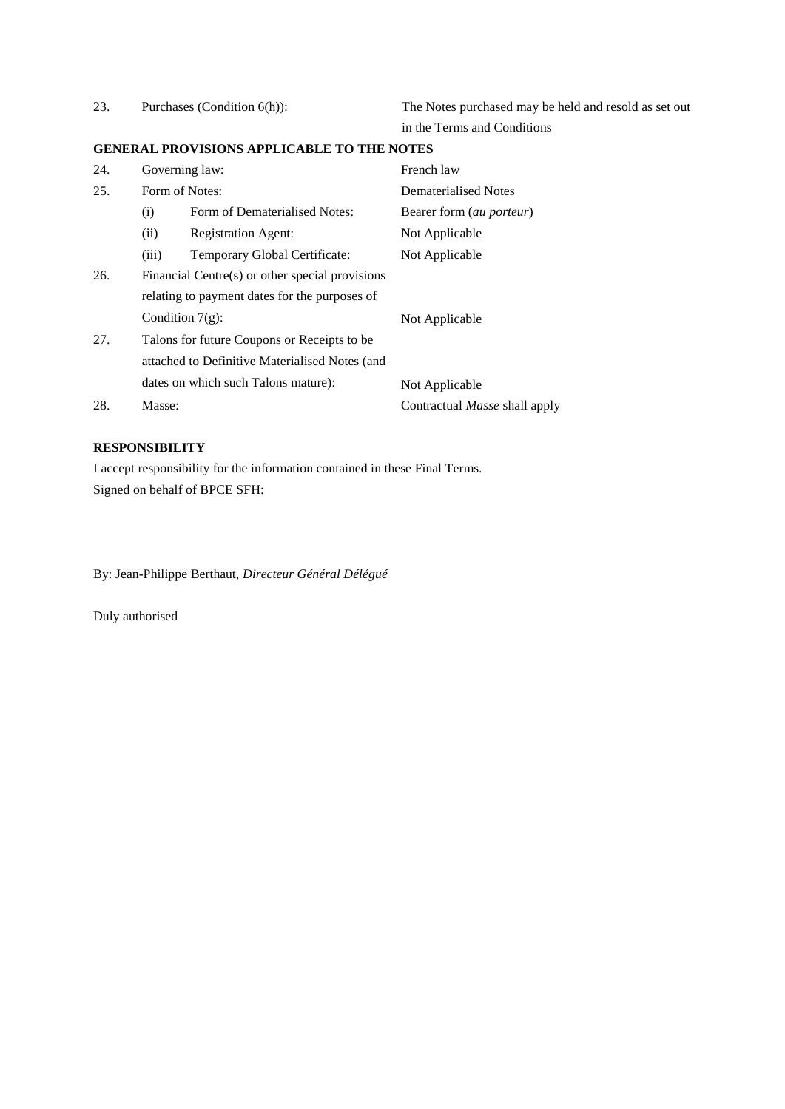| 23. | Purchases (Condition 6(h)):                    |                                                   | The Notes purchased may be held and resold as set out |
|-----|------------------------------------------------|---------------------------------------------------|-------------------------------------------------------|
|     |                                                |                                                   | in the Terms and Conditions                           |
|     |                                                | <b>GENERAL PROVISIONS APPLICABLE TO THE NOTES</b> |                                                       |
| 24. | Governing law:                                 |                                                   | French law                                            |
| 25. | Form of Notes:                                 |                                                   | Dematerialised Notes                                  |
|     | (i)                                            | Form of Dematerialised Notes:                     | Bearer form (au porteur)                              |
|     | (ii)                                           | <b>Registration Agent:</b>                        | Not Applicable                                        |
|     | (iii)                                          | Temporary Global Certificate:                     | Not Applicable                                        |
| 26. |                                                | Financial Centre(s) or other special provisions   |                                                       |
|     | relating to payment dates for the purposes of  |                                                   |                                                       |
|     | Condition $7(g)$ :                             |                                                   | Not Applicable                                        |
| 27. | Talons for future Coupons or Receipts to be    |                                                   |                                                       |
|     | attached to Definitive Materialised Notes (and |                                                   |                                                       |
|     | dates on which such Talons mature):            |                                                   | Not Applicable                                        |
| 28. | Masse:                                         |                                                   | Contractual <i>Masse</i> shall apply                  |

## **RESPONSIBILITY**

I accept responsibility for the information contained in these Final Terms. Signed on behalf of BPCE SFH:

By: Jean-Philippe Berthaut, *Directeur Général Délégué*

Duly authorised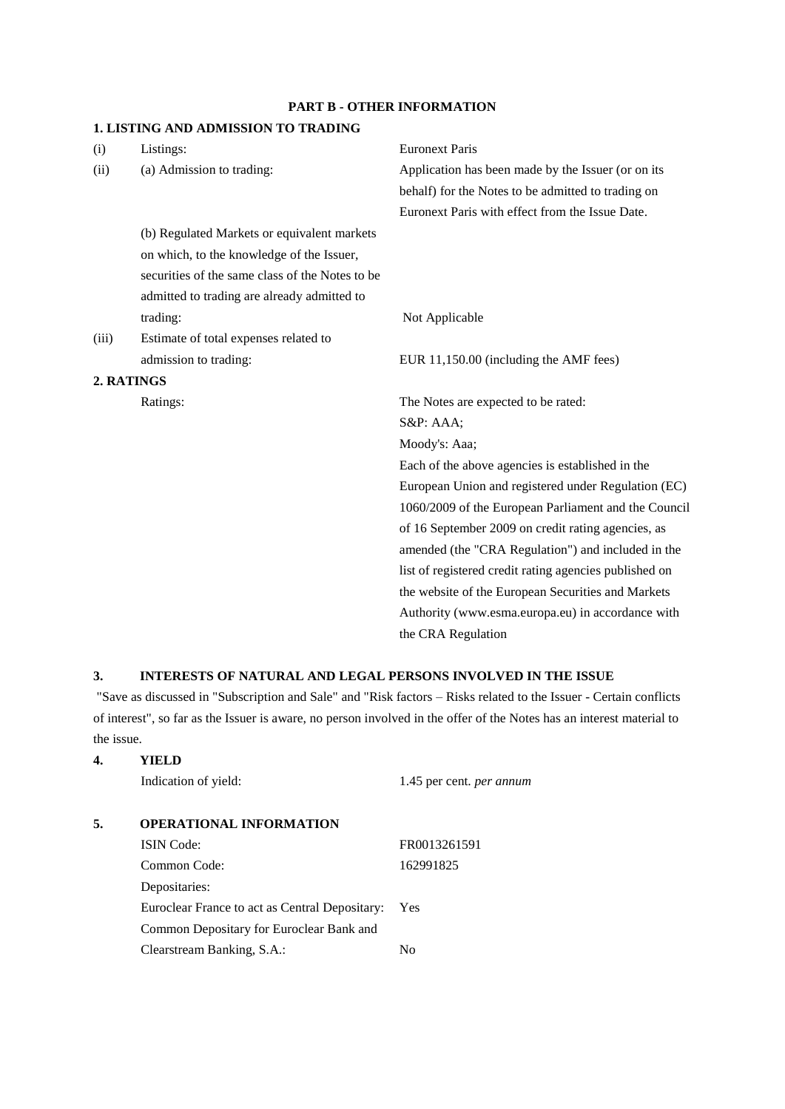### **PART B - OTHER INFORMATION**

### **1. LISTING AND ADMISSION TO TRADING**

| (i)   | Listings:                                       | <b>Euronext Paris</b>                                  |
|-------|-------------------------------------------------|--------------------------------------------------------|
| (ii)  | (a) Admission to trading:                       | Application has been made by the Issuer (or on its     |
|       |                                                 | behalf) for the Notes to be admitted to trading on     |
|       |                                                 | Euronext Paris with effect from the Issue Date.        |
|       | (b) Regulated Markets or equivalent markets     |                                                        |
|       | on which, to the knowledge of the Issuer,       |                                                        |
|       | securities of the same class of the Notes to be |                                                        |
|       | admitted to trading are already admitted to     |                                                        |
|       | trading:                                        | Not Applicable                                         |
| (iii) | Estimate of total expenses related to           |                                                        |
|       | admission to trading:                           | EUR 11,150.00 (including the AMF fees)                 |
|       | 2. RATINGS                                      |                                                        |
|       | Ratings:                                        | The Notes are expected to be rated:                    |
|       |                                                 | S&P: AAA;                                              |
|       |                                                 | Moody's: Aaa;                                          |
|       |                                                 | Each of the above agencies is established in the       |
|       |                                                 | European Union and registered under Regulation (EC)    |
|       |                                                 | 1060/2009 of the European Parliament and the Council   |
|       |                                                 | of 16 September 2009 on credit rating agencies, as     |
|       |                                                 | amended (the "CRA Regulation") and included in the     |
|       |                                                 | list of registered credit rating agencies published on |
|       |                                                 | the website of the European Securities and Markets     |
|       |                                                 | Authority (www.esma.europa.eu) in accordance with      |
|       |                                                 | the CRA Regulation                                     |

### **3. INTERESTS OF NATURAL AND LEGAL PERSONS INVOLVED IN THE ISSUE**

"Save as discussed in "Subscription and Sale" and "Risk factors – Risks related to the Issuer - Certain conflicts of interest", so far as the Issuer is aware, no person involved in the offer of the Notes has an interest material to the issue.

|    | Indication of yield:                           | 1.45 per cent. <i>per annum</i> |
|----|------------------------------------------------|---------------------------------|
| 5. | <b>OPERATIONAL INFORMATION</b>                 |                                 |
|    | <b>ISIN</b> Code:                              | FR0013261591                    |
|    | Common Code:                                   | 162991825                       |
|    | Depositaries:                                  |                                 |
|    | Euroclear France to act as Central Depositary: | Yes                             |
|    | Common Depositary for Euroclear Bank and       |                                 |
|    | Clearstream Banking, S.A.:                     | No                              |

**4. YIELD**